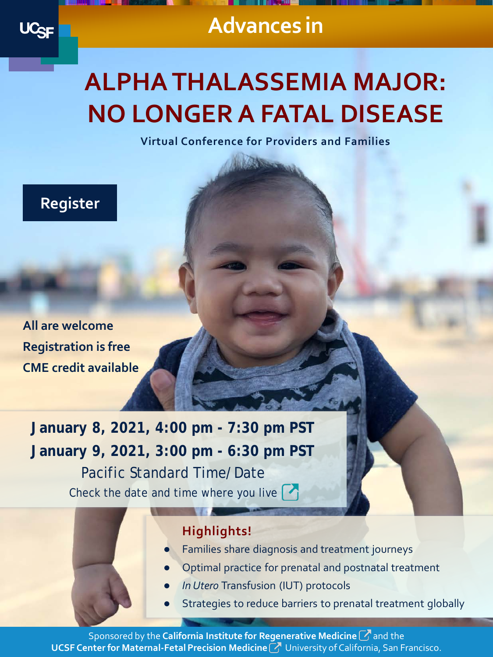

**Advances in**

# **ALPHA THALASSEMIA MAJOR: NO LONGER A FATAL DISEASE**

**Virtual Conference for Providers and Families**



**All are welcome Registration is free CME credit available** 

**January 8, 2021, 4:00 pm - 7:30 pm PST January 9, 2021, 3:00 pm - 6:30 pm PST** Pacific Standard Time/Date Check the date and time where you live

#### **Highlights!**

- Families share diagnosis and treatment journeys
- Optimal practice for prenatal and postnatal treatment
- **In Utero Transfusion (IUT) protocols**
- Strategies to reduce barriers to prenatal treatment globally

Sponsored by the **California Institute for Regenerative Medicine**and the **UCSF Center for Maternal-Fetal Precision Medicine** *M* University of California, San Francisco.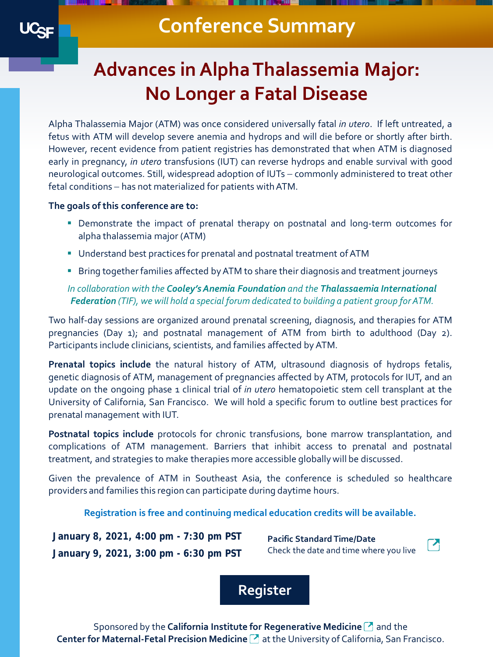### **Conference Summary**

## **Advances in Alpha Thalassemia Major: No Longer a Fatal Disease**

Alpha Thalassemia Major (ATM) was once considered universally fatal *in utero*. If left untreated, a fetus with ATM will develop severe anemia and hydrops and will die before or shortly after birth. However, recent evidence from patient registries has demonstrated that when ATM is diagnosed early in pregnancy, *in utero* transfusions (IUT) can reverse hydrops and enable survival with good neurological outcomes. Still, widespread adoption of IUTs – commonly administered to treat other fetal conditions – has not materialized for patients with ATM.

#### **The goals of this conference are to:**

- Demonstrate the impact of prenatal therapy on postnatal and long-term outcomes for alpha thalassemia major (ATM)
- Understand best practices for prenatal and postnatal treatment of ATM
- **Bring together families affected by ATM to share their diagnosis and treatment journeys**

#### *In collaboration with the Cooley's Anemia Foundation and the Thalassaemia International Federation (TIF), we will hold a special forum dedicated to building a patient group for ATM.*

Two half-day sessions are organized around prenatal screening, diagnosis, and therapies for ATM pregnancies (Day 1); and postnatal management of ATM from birth to adulthood (Day 2). Participants include clinicians, scientists, and families affected by ATM.

**Prenatal topics include** the natural history of ATM, ultrasound diagnosis of hydrops fetalis, genetic diagnosis of ATM, management of pregnancies affected by ATM, protocols for IUT, and an update on the ongoing phase 1 clinical trial of *in utero* hematopoietic stem cell transplant at the University of California, San Francisco. We will hold a specific forum to outline best practices for prenatal management with IUT.

**Postnatal topics include** protocols for chronic transfusions, bone marrow transplantation, and complications of ATM management. Barriers that inhibit access to prenatal and postnatal treatment, and strategies to make therapies more accessible globallywill be discussed.

Given the prevalence of ATM in Southeast Asia, the conference is scheduled so healthcare providers and families this region can participate during daytime hours.

#### **Registration is free and continuing medical education credits will be available.**

**January 8, 2021, 4:00 pm - 7:30 pm PST January 9, 2021, 3:00 pm - 6:30 pm PST**

**Pacific Standard Time/Date** Check the date and time where you live



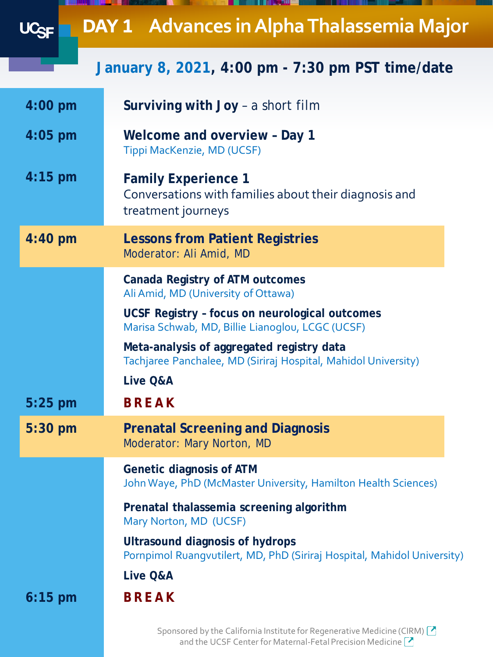|           | <b>DAY 1 Advances in Alpha Thalassemia Major</b>                                                                  |
|-----------|-------------------------------------------------------------------------------------------------------------------|
|           | January 8, 2021, 4:00 pm - 7:30 pm PST time/date                                                                  |
| $4:00$ pm | <b>Surviving with Joy - a short film</b>                                                                          |
| $4:05$ pm | Welcome and overview - Day 1<br>Tippi MacKenzie, MD (UCSF)                                                        |
| $4:15$ pm | <b>Family Experience 1</b><br>Conversations with families about their diagnosis and<br>treatment journeys         |
| 4:40 pm   | <b>Lessons from Patient Registries</b><br>Moderator: Ali Amid, MD                                                 |
|           | Canada Registry of ATM outcomes<br>Ali Amid, MD (University of Ottawa)                                            |
|           | UCSF Registry - focus on neurological outcomes<br>Marisa Schwab, MD, Billie Lianoglou, LCGC (UCSF)                |
|           | Meta-analysis of aggregated registry data<br>Tachjaree Panchalee, MD (Siriraj Hospital, Mahidol University)       |
|           | Live Q&A                                                                                                          |
| $5:25$ pm | <b>BREAK</b>                                                                                                      |
| $5:30$ pm | <b>Prenatal Screening and Diagnosis</b><br>Moderator: Mary Norton, MD                                             |
|           | <b>Genetic diagnosis of ATM</b><br>John Waye, PhD (McMaster University, Hamilton Health Sciences)                 |
|           | Prenatal thalassemia screening algorithm<br>Mary Norton, MD (UCSF)                                                |
|           | <b>Ultrasound diagnosis of hydrops</b><br>Pornpimol Ruangvutilert, MD, PhD (Siriraj Hospital, Mahidol University) |
|           | Live Q&A                                                                                                          |
| $6:15$ pm | <b>BREAK</b>                                                                                                      |
|           | Sponsored by the California Institute for Regenerative Medicine (CIRM)                                            |

and the UCSF Center for Maternal-Fetal Precision Medicine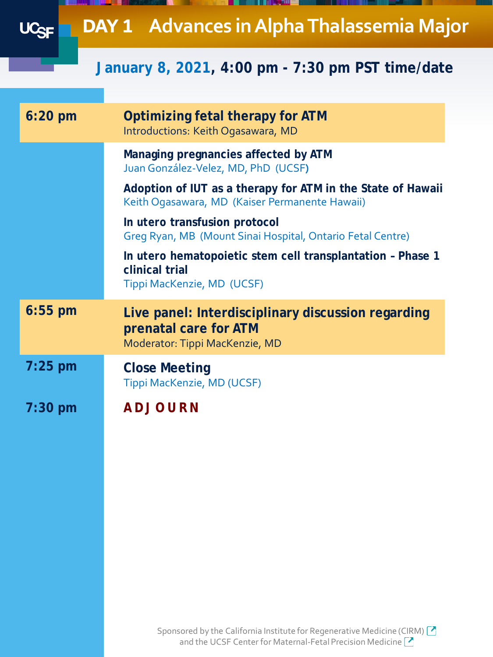|           | <b>DAY 1 Advances in Alpha Thalassemia Major</b>                                                                                               |
|-----------|------------------------------------------------------------------------------------------------------------------------------------------------|
|           | January 8, 2021, 4:00 pm - 7:30 pm PST time/date                                                                                               |
| $6:20$ pm | Optimizing fetal therapy for ATM<br>Introductions: Keith Ogasawara, MD                                                                         |
|           | Managing pregnancies affected by ATM<br>Juan González-Velez, MD, PhD (UCSF)                                                                    |
|           | Adoption of IUT as a therapy for ATM in the State of Hawaii<br>Keith Ogasawara, MD (Kaiser Permanente Hawaii)                                  |
|           | In utero transfusion protocol<br>Greg Ryan, MB (Mount Sinai Hospital, Ontario Fetal Centre)                                                    |
|           | In utero hematopoietic stem cell transplantation - Phase 1<br>clinical trial<br>Tippi MacKenzie, MD (UCSF)                                     |
| $6:55$ pm | Live panel: Interdisciplinary discussion regarding<br>prenatal care for ATM<br>Moderator: Tippi MacKenzie, MD                                  |
| $7:25$ pm | <b>Close Meeting</b><br>Tippi MacKenzie, MD (UCSF)                                                                                             |
| $7:30$ pm | <b>ADJOURN</b>                                                                                                                                 |
|           |                                                                                                                                                |
|           |                                                                                                                                                |
|           |                                                                                                                                                |
|           |                                                                                                                                                |
|           |                                                                                                                                                |
|           | Sponsored by the California Institute for Regenerative Medicine (CIRM) $\bigcirc$<br>and the UCSF Center for Maternal-Fetal Precision Medicine |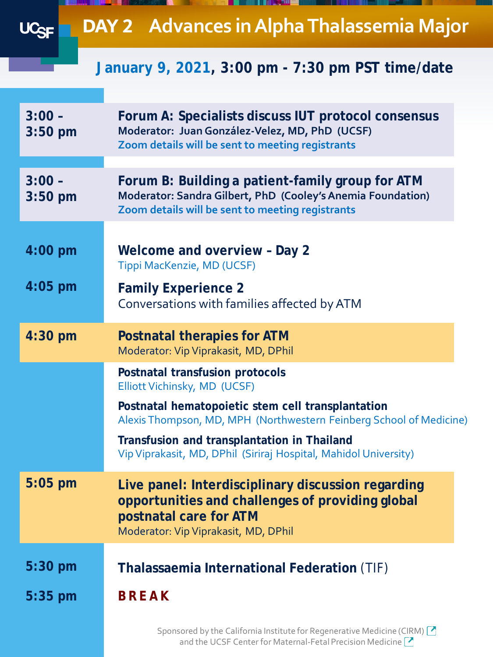|                       | <b>DAY 2 Advances in Alpha Thalassemia Major</b>                                                                                                                         |
|-----------------------|--------------------------------------------------------------------------------------------------------------------------------------------------------------------------|
|                       | January 9, 2021, 3:00 pm - 7:30 pm PST time/date                                                                                                                         |
| $3:00 -$<br>$3:50$ pm | Forum A: Specialists discuss IUT protocol consensus<br>Moderator: Juan González-Velez, MD, PhD (UCSF)<br>Zoom details will be sent to meeting registrants                |
| $3:00 -$<br>$3:50$ pm | Forum B: Building a patient-family group for ATM<br>Moderator: Sandra Gilbert, PhD (Cooley's Anemia Foundation)<br>Zoom details will be sent to meeting registrants      |
| $4:00$ pm             | Welcome and overview - Day 2<br>Tippi MacKenzie, MD (UCSF)                                                                                                               |
| $4:05$ pm             | <b>Family Experience 2</b><br>Conversations with families affected by ATM                                                                                                |
| 4:30 pm               | <b>Postnatal therapies for ATM</b><br>Moderator: Vip Viprakasit, MD, DPhil                                                                                               |
|                       | Postnatal transfusion protocols<br>Elliott Vichinsky, MD (UCSF)                                                                                                          |
|                       | Postnatal hematopoietic stem cell transplantation<br>Alexis Thompson, MD, MPH (Northwestern Feinberg School of Medicine)                                                 |
|                       | Transfusion and transplantation in Thailand<br>Vip Viprakasit, MD, DPhil (Siriraj Hospital, Mahidol University)                                                          |
| $5:05$ pm             | Live panel: Interdisciplinary discussion regarding<br>opportunities and challenges of providing global<br>postnatal care for ATM<br>Moderator: Vip Viprakasit, MD, DPhil |
| $5:30$ pm             | Thalassaemia International Federation (TIF)                                                                                                                              |
| $5:35$ pm             | <b>BREAK</b>                                                                                                                                                             |
|                       | Sponsored by the California Institute for Regenerative Medicine (CIRM) $\boxed{\cdot}$<br>and the UCSF Center for Maternal-Fetal Precision Medicine                      |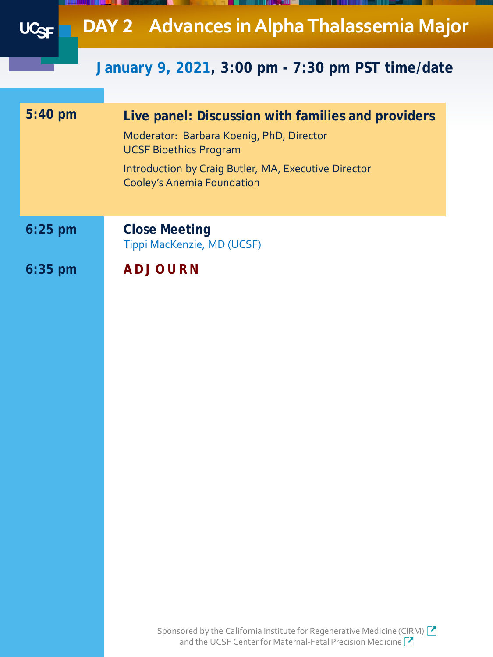**DAY 2 Advances in Alpha Thalassemia Major** UC<sub>SF</sub>

### **January 9, 2021, 3:00 pm - 7:30 pm PST time/date**

| Live panel: Discussion with families and providers<br>Moderator: Barbara Koenig, PhD, Director<br><b>UCSF Bioethics Program</b><br>Introduction by Craig Butler, MA, Executive Director<br><b>Cooley's Anemia Foundation</b> |
|------------------------------------------------------------------------------------------------------------------------------------------------------------------------------------------------------------------------------|
| <b>Close Meeting</b><br>Tippi MacKenzie, MD (UCSF)                                                                                                                                                                           |
| <b>ADJOURN</b>                                                                                                                                                                                                               |
|                                                                                                                                                                                                                              |

Sponsored by the California Institute for Regenerative Medicine (CIRM) <sup>2</sup> and the UCSF Center for Maternal-Fetal Precision Medicine